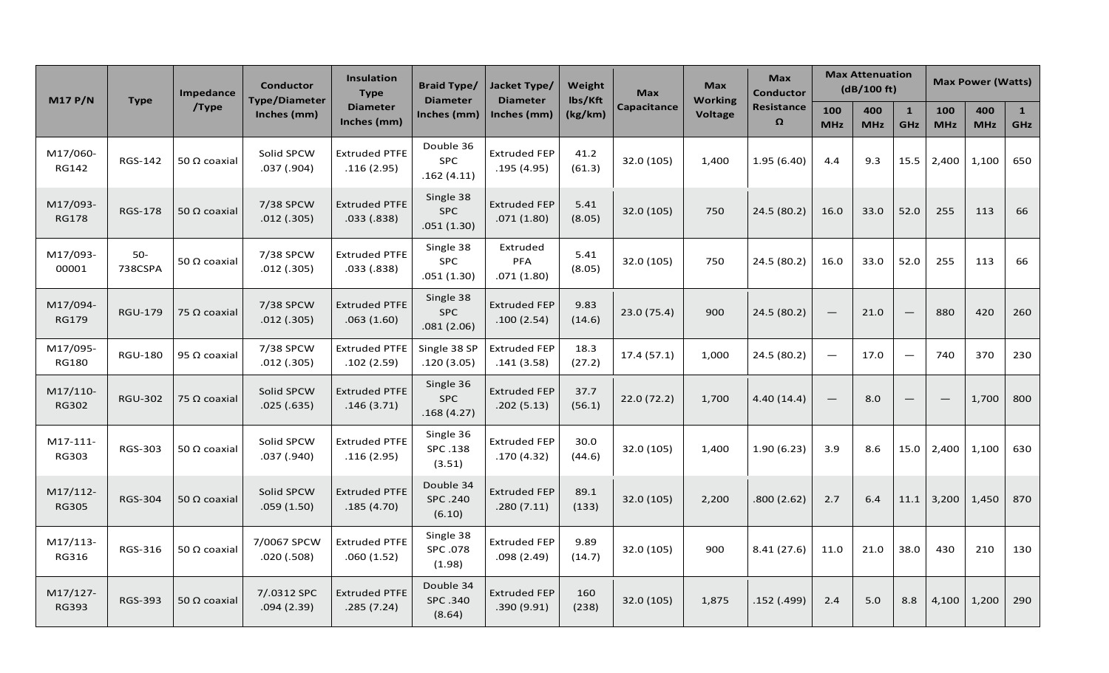| <b>M17 P/N</b>           | <b>Type</b>      | Impedance<br>/Type  | <b>Conductor</b><br><b>Type/Diameter</b><br>Inches (mm) | Insulation<br><b>Type</b><br><b>Diameter</b><br>Inches (mm) | <b>Braid Type/</b><br><b>Diameter</b><br>Inches (mm) | Jacket Type/<br><b>Diameter</b><br>Inches (mm) | Weight<br>lbs/Kft<br>(kg/km) | <b>Max</b><br><b>Capacitance</b> | <b>Max</b><br><b>Working</b><br><b>Voltage</b> | <b>Max</b><br><b>Conductor</b><br><b>Resistance</b><br>$\Omega$ | <b>Max Attenuation</b><br>(dB/100 ft) |                   |                            | <b>Max Power (Watts)</b> |                   |                            |
|--------------------------|------------------|---------------------|---------------------------------------------------------|-------------------------------------------------------------|------------------------------------------------------|------------------------------------------------|------------------------------|----------------------------------|------------------------------------------------|-----------------------------------------------------------------|---------------------------------------|-------------------|----------------------------|--------------------------|-------------------|----------------------------|
|                          |                  |                     |                                                         |                                                             |                                                      |                                                |                              |                                  |                                                |                                                                 | 100<br><b>MHz</b>                     | 400<br><b>MHz</b> | $\mathbf{1}$<br><b>GHz</b> | 100<br><b>MHz</b>        | 400<br><b>MHz</b> | $\mathbf{1}$<br><b>GHz</b> |
| M17/060-<br><b>RG142</b> | <b>RGS-142</b>   | 50 Ω coaxial        | Solid SPCW<br>.037(.904)                                | <b>Extruded PTFE</b><br>.116(2.95)                          | Double 36<br><b>SPC</b><br>.162(4.11)                | <b>Extruded FEP</b><br>.195(4.95)              | 41.2<br>(61.3)               | 32.0 (105)                       | 1,400                                          | 1.95(6.40)                                                      | 4.4                                   | 9.3               | 15.5                       | 2,400                    | 1,100             | 650                        |
| M17/093-<br><b>RG178</b> | <b>RGS-178</b>   | 50 $\Omega$ coaxial | 7/38 SPCW<br>.012(.305)                                 | <b>Extruded PTFE</b><br>.033 (.838)                         | Single 38<br><b>SPC</b><br>.051(1.30)                | <b>Extruded FEP</b><br>.071(1.80)              | 5.41<br>(8.05)               | 32.0 (105)                       | 750                                            | 24.5 (80.2)                                                     | 16.0                                  | 33.0              | 52.0                       | 255                      | 113               | 66                         |
| M17/093-<br>00001        | $50-$<br>738CSPA | 50 Ω coaxial        | 7/38 SPCW<br>.012(.305)                                 | <b>Extruded PTFE</b><br>.033(.838)                          | Single 38<br><b>SPC</b><br>.051(1.30)                | Extruded<br><b>PFA</b><br>.071(1.80)           | 5.41<br>(8.05)               | 32.0 (105)                       | 750                                            | 24.5 (80.2)                                                     | 16.0                                  | 33.0              | 52.0                       | 255                      | 113               | 66                         |
| M17/094-<br><b>RG179</b> | <b>RGU-179</b>   | 75 $\Omega$ coaxial | 7/38 SPCW<br>.012(.305)                                 | <b>Extruded PTFE</b><br>.063(1.60)                          | Single 38<br><b>SPC</b><br>.081(2.06)                | <b>Extruded FEP</b><br>.100(2.54)              | 9.83<br>(14.6)               | 23.0 (75.4)                      | 900                                            | 24.5 (80.2)                                                     | $\overline{\phantom{m}}$              | 21.0              | $\overline{\phantom{m}}$   | 880                      | 420               | 260                        |
| M17/095-<br><b>RG180</b> | <b>RGU-180</b>   | 95 Ω coaxial        | 7/38 SPCW<br>.012(.305)                                 | <b>Extruded PTFE</b><br>.102(2.59)                          | Single 38 SP<br>.120(3.05)                           | <b>Extruded FEP</b><br>.141(3.58)              | 18.3<br>(27.2)               | 17.4(57.1)                       | 1,000                                          | 24.5 (80.2)                                                     | $\overline{\phantom{m}}$              | 17.0              | $\overline{\phantom{m}}$   | 740                      | 370               | 230                        |
| M17/110-<br><b>RG302</b> | <b>RGU-302</b>   | 75 Ω coaxial        | Solid SPCW<br>.025(.635)                                | <b>Extruded PTFE</b><br>.146(3.71)                          | Single 36<br><b>SPC</b><br>.168(4.27)                | <b>Extruded FEP</b><br>.202(5.13)              | 37.7<br>(56.1)               | 22.0 (72.2)                      | 1,700                                          | 4.40(14.4)                                                      | $\overline{\phantom{m}}$              | 8.0               | $\overline{\phantom{m}}$   | $\qquad \qquad -$        | 1,700             | 800                        |
| M17-111-<br>RG303        | <b>RGS-303</b>   | 50 $\Omega$ coaxial | Solid SPCW<br>.037 (.940)                               | <b>Extruded PTFE</b><br>.116(2.95)                          | Single 36<br>SPC .138<br>(3.51)                      | <b>Extruded FEP</b><br>.170(4.32)              | 30.0<br>(44.6)               | 32.0 (105)                       | 1,400                                          | 1.90(6.23)                                                      | 3.9                                   | 8.6               | 15.0                       | 2,400                    | 1,100             | 630                        |
| M17/112-<br><b>RG305</b> | <b>RGS-304</b>   | 50 $\Omega$ coaxial | Solid SPCW<br>.059(1.50)                                | <b>Extruded PTFE</b><br>.185(4.70)                          | Double 34<br>SPC.240<br>(6.10)                       | <b>Extruded FEP</b><br>.280(7.11)              | 89.1<br>(133)                | 32.0 (105)                       | 2,200                                          | .800 (2.62)                                                     | 2.7                                   | 6.4               | 11.1                       | 3,200                    | 1,450             | 870                        |
| M17/113-<br>RG316        | RGS-316          | 50 Ω coaxial        | 7/0067 SPCW<br>.020(.508)                               | <b>Extruded PTFE</b><br>.060(1.52)                          | Single 38<br>SPC .078<br>(1.98)                      | <b>Extruded FEP</b><br>.098(2.49)              | 9.89<br>(14.7)               | 32.0 (105)                       | 900                                            | 8.41(27.6)                                                      | 11.0                                  | 21.0              | 38.0                       | 430                      | 210               | 130                        |
| M17/127-<br>RG393        | <b>RGS-393</b>   | 50 $\Omega$ coaxial | 7/.0312 SPC<br>.094(2.39)                               | <b>Extruded PTFE</b><br>.285(7.24)                          | Double 34<br>SPC .340<br>(8.64)                      | <b>Extruded FEP</b><br>.390(9.91)              | 160<br>(238)                 | 32.0 (105)                       | 1,875                                          | .152 (.499)                                                     | 2.4                                   | 5.0               | 8.8                        | 4,100                    | 1,200             | 290                        |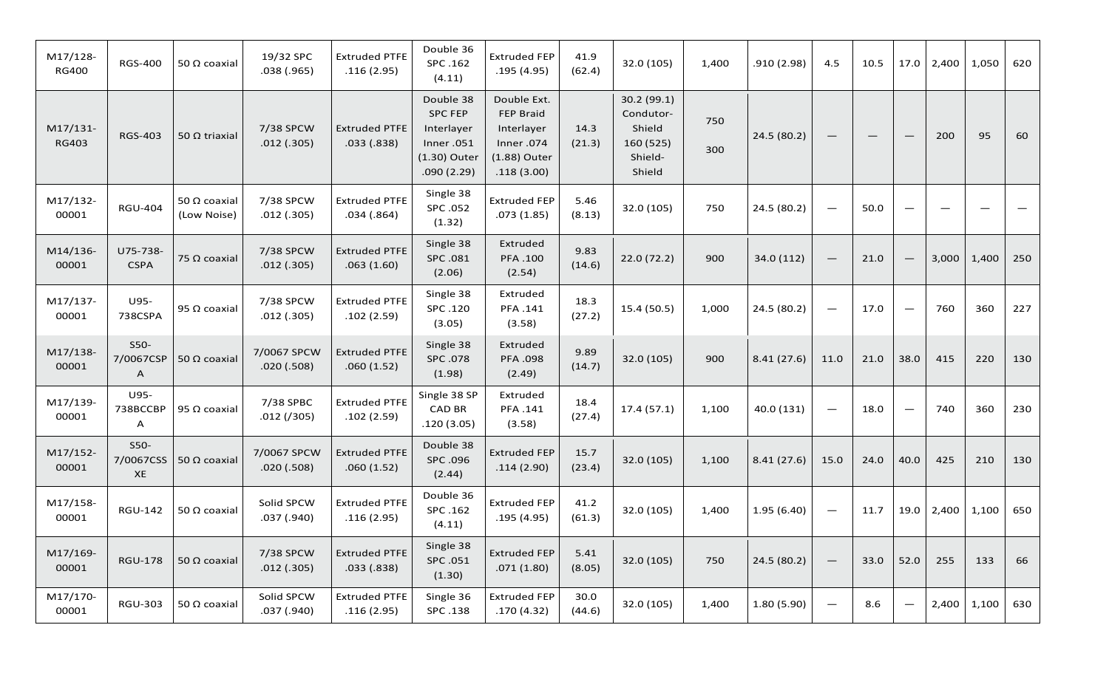| M17/128-<br><b>RG400</b> | <b>RGS-400</b>           | 50 $\Omega$ coaxial         | 19/32 SPC<br>.038(.965)    | <b>Extruded PTFE</b><br>.116(2.95) | Double 36<br>SPC .162<br>(4.11)                                                      | <b>Extruded FEP</b><br>.195(4.95)                                                        | 41.9<br>(62.4) | 32.0 (105)                                                           | 1,400      | .910(2.98)  | 4.5                      | 10.5                            | 17.0                            | 2,400 | 1,050 | 620 |
|--------------------------|--------------------------|-----------------------------|----------------------------|------------------------------------|--------------------------------------------------------------------------------------|------------------------------------------------------------------------------------------|----------------|----------------------------------------------------------------------|------------|-------------|--------------------------|---------------------------------|---------------------------------|-------|-------|-----|
| M17/131-<br><b>RG403</b> | <b>RGS-403</b>           | 50 $\Omega$ triaxial        | 7/38 SPCW<br>.012(.305)    | <b>Extruded PTFE</b><br>.033(.838) | Double 38<br><b>SPC FEP</b><br>Interlayer<br>Inner.051<br>(1.30) Outer<br>.090(2.29) | Double Ext.<br><b>FEP Braid</b><br>Interlayer<br>Inner.074<br>(1.88) Outer<br>.118(3.00) | 14.3<br>(21.3) | 30.2 (99.1)<br>Condutor-<br>Shield<br>160 (525)<br>Shield-<br>Shield | 750<br>300 | 24.5 (80.2) | $\overline{\phantom{m}}$ | $\qquad \qquad - \qquad \qquad$ | $\overline{\phantom{m}}$        | 200   | 95    | 60  |
| M17/132-<br>00001        | <b>RGU-404</b>           | 50 Ω coaxial<br>(Low Noise) | 7/38 SPCW<br>.012(.305)    | <b>Extruded PTFE</b><br>.034(.864) | Single 38<br>SPC .052<br>(1.32)                                                      | <b>Extruded FEP</b><br>.073(1.85)                                                        | 5.46<br>(8.13) | 32.0 (105)                                                           | 750        | 24.5 (80.2) | $\overline{\phantom{m}}$ | 50.0                            | $\overline{\phantom{0}}$        |       |       |     |
| M14/136-<br>00001        | U75-738-<br><b>CSPA</b>  | 75 $\Omega$ coaxial         | 7/38 SPCW<br>.012(.305)    | <b>Extruded PTFE</b><br>.063(1.60) | Single 38<br>SPC .081<br>(2.06)                                                      | Extruded<br>PFA .100<br>(2.54)                                                           | 9.83<br>(14.6) | 22.0(72.2)                                                           | 900        | 34.0 (112)  | $\overline{\phantom{m}}$ | 21.0                            | $\hspace{0.1mm}-\hspace{0.1mm}$ | 3,000 | 1,400 | 250 |
| M17/137-<br>00001        | U95-<br>738CSPA          | 95 $\Omega$ coaxial         | 7/38 SPCW<br>.012(.305)    | <b>Extruded PTFE</b><br>.102(2.59) | Single 38<br>SPC .120<br>(3.05)                                                      | Extruded<br>PFA .141<br>(3.58)                                                           | 18.3<br>(27.2) | 15.4 (50.5)                                                          | 1,000      | 24.5 (80.2) | $\overline{\phantom{m}}$ | 17.0                            | $\qquad \qquad$                 | 760   | 360   | 227 |
| M17/138-<br>00001        | $S50-$<br>7/0067CSP<br>Α | 50 $\Omega$ coaxial         | 7/0067 SPCW<br>.020(.508)  | <b>Extruded PTFE</b><br>.060(1.52) | Single 38<br>SPC .078<br>(1.98)                                                      | Extruded<br>PFA .098<br>(2.49)                                                           | 9.89<br>(14.7) | 32.0 (105)                                                           | 900        | 8.41(27.6)  | 11.0                     | 21.0                            | 38.0                            | 415   | 220   | 130 |
| M17/139-<br>00001        | U95-<br>738BCCBP<br>A    | 95 $\Omega$ coaxial         | 7/38 SPBC<br>$.012$ (/305) | <b>Extruded PTFE</b><br>.102(2.59) | Single 38 SP<br><b>CAD BR</b><br>.120(3.05)                                          | Extruded<br>PFA .141<br>(3.58)                                                           | 18.4<br>(27.4) | 17.4(57.1)                                                           | 1,100      | 40.0 (131)  | $\overline{\phantom{m}}$ | 18.0                            | $\qquad \qquad$                 | 740   | 360   | 230 |
| M17/152-<br>00001        | S50-<br>7/0067CSS<br>XE  | 50 $\Omega$ coaxial         | 7/0067 SPCW<br>.020(.508)  | <b>Extruded PTFE</b><br>.060(1.52) | Double 38<br>SPC .096<br>(2.44)                                                      | <b>Extruded FEP</b><br>.114(2.90)                                                        | 15.7<br>(23.4) | 32.0 (105)                                                           | 1,100      | 8.41(27.6)  | 15.0                     | 24.0                            | 40.0                            | 425   | 210   | 130 |
| M17/158-<br>00001        | <b>RGU-142</b>           | 50 $\Omega$ coaxial         | Solid SPCW<br>.037(.940)   | <b>Extruded PTFE</b><br>.116(2.95) | Double 36<br>SPC .162<br>(4.11)                                                      | <b>Extruded FEP</b><br>.195(4.95)                                                        | 41.2<br>(61.3) | 32.0 (105)                                                           | 1,400      | 1.95(6.40)  | $\overline{\phantom{m}}$ | 11.7                            | 19.0                            | 2,400 | 1,100 | 650 |
| M17/169-<br>00001        | <b>RGU-178</b>           | 50 $\Omega$ coaxial         | 7/38 SPCW<br>.012(.305)    | <b>Extruded PTFE</b><br>.033(.838) | Single 38<br>SPC .051<br>(1.30)                                                      | <b>Extruded FEP</b><br>.071(1.80)                                                        | 5.41<br>(8.05) | 32.0 (105)                                                           | 750        | 24.5 (80.2) | $\overline{\phantom{m}}$ | 33.0                            | 52.0                            | 255   | 133   | 66  |
| M17/170-<br>00001        | <b>RGU-303</b>           | 50 $\Omega$ coaxial         | Solid SPCW<br>.037(.940)   | <b>Extruded PTFE</b><br>.116(2.95) | Single 36<br>SPC .138                                                                | <b>Extruded FEP</b><br>.170(4.32)                                                        | 30.0<br>(44.6) | 32.0 (105)                                                           | 1,400      | 1.80(5.90)  | $\overline{\phantom{m}}$ | 8.6                             |                                 | 2,400 | 1,100 | 630 |